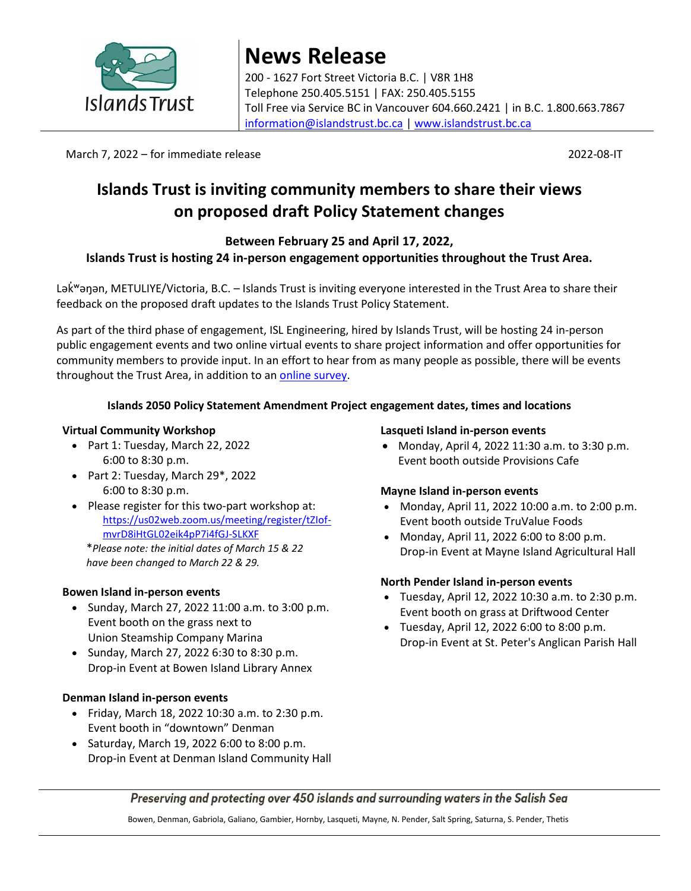

# **News Release** 200 - 1627 Fort Street Victoria B.C. | V8R 1H8 Telephone 250.405.5151 | FAX: 250.405.5155 Toll Free via Service BC in Vancouver 604.660.2421 | in B.C. 1.800.663.7867 [information@islandstrust.bc.ca](mailto:information@islandstrust.bc.ca) | [www.islandstrust.bc.ca](http://www.islandstrust.bc.ca/)

March 7, 2022 – for immediate release 2022-08-IT

# **Islands Trust is inviting community members to share their views on proposed draft Policy Statement changes**

# **Between February 25 and April 17, 2022,**

# **Islands Trust is hosting 24 in-person engagement opportunities throughout the Trust Area.**

Ləkwənan, METULIYE/Victoria, B.C. – Islands Trust is inviting everyone interested in the Trust Area to share their feedback on the proposed draft updates to the Islands Trust Policy Statement.

As part of the third phase of engagement, ISL Engineering, hired by Islands Trust, will be hosting 24 in-person public engagement events and two online virtual events to share project information and offer opportunities for community members to provide input. In an effort to hear from as many people as possible, there will be events throughout the Trust Area, in addition to an [online survey.](https://islandstrust.bc.ca/programs/islands-2050/)

# **Islands 2050 Policy Statement Amendment Project engagement dates, times and locations**

# **Virtual Community Workshop**

- Part 1: Tuesday, March 22, 2022 6:00 to 8:30 p.m.
- Part 2: Tuesday, March 29\*, 2022 6:00 to 8:30 p.m.
- Please register for this two-part workshop at: [https://us02web.zoom.us/meeting/register/tZIof](https://us02web.zoom.us/meeting/register/tZIof-mvrD8iHtGL02eik4pP7i4fGJ-SLKXF)[mvrD8iHtGL02eik4pP7i4fGJ-SLKXF](https://us02web.zoom.us/meeting/register/tZIof-mvrD8iHtGL02eik4pP7i4fGJ-SLKXF)

\**Please note: the initial dates of March 15 & 22 have been changed to March 22 & 29.*

# **Bowen Island in-person events**

- Sunday, March 27, 2022 11:00 a.m. to 3:00 p.m. Event booth on the grass next to Union Steamship Company Marina
- Sunday, March 27, 2022 6:30 to 8:30 p.m. Drop-in Event at Bowen Island Library Annex

# **Denman Island in-person events**

- Friday, March 18, 2022 10:30 a.m. to 2:30 p.m. Event booth in "downtown" Denman
- $\bullet$  Saturday, March 19, 2022 6:00 to 8:00 p.m. Drop-in Event at Denman Island Community Hall

#### **Lasqueti Island in-person events**

 Monday, April 4, 2022 11:30 a.m. to 3:30 p.m. Event booth outside Provisions Cafe

# **Mayne Island in-person events**

- Monday, April 11, 2022 10:00 a.m. to 2:00 p.m. Event booth outside TruValue Foods
- Monday, April 11, 2022 6:00 to 8:00 p.m. Drop-in Event at Mayne Island Agricultural Hall

# **North Pender Island in-person events**

- Tuesday, April 12, 2022 10:30 a.m. to 2:30 p.m. Event booth on grass at Driftwood Center
- Tuesday, April 12, 2022 6:00 to 8:00 p.m. Drop-in Event at St. Peter's Anglican Parish Hall

Preserving and protecting over 450 islands and surrounding waters in the Salish Sea

Bowen, Denman, Gabriola, Galiano, Gambier, Hornby, Lasqueti, Mayne, N. Pender, Salt Spring, Saturna, S. Pender, Thetis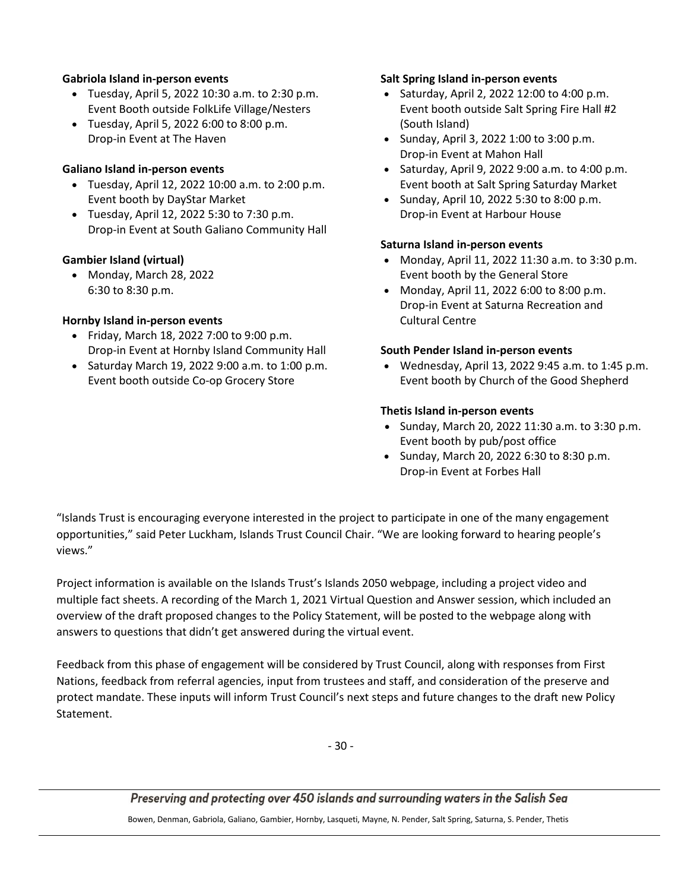#### **Gabriola Island in-person events**

- Tuesday, April 5, 2022 10:30 a.m. to 2:30 p.m. Event Booth outside FolkLife Village/Nesters
- Tuesday, April 5, 2022 6:00 to 8:00 p.m. Drop-in Event at The Haven

#### **Galiano Island in-person events**

- Tuesday, April 12, 2022 10:00 a.m. to 2:00 p.m. Event booth by DayStar Market
- Tuesday, April 12, 2022 5:30 to 7:30 p.m. Drop-in Event at South Galiano Community Hall

#### **Gambier Island (virtual)**

 Monday, March 28, 2022 6:30 to 8:30 p.m.

#### **Hornby Island in-person events**

- Friday, March 18, 2022 7:00 to 9:00 p.m. Drop-in Event at Hornby Island Community Hall
- $\bullet$  Saturday March 19, 2022 9:00 a.m. to 1:00 p.m. Event booth outside Co-op Grocery Store

#### **Salt Spring Island in-person events**

- $\bullet$  Saturday, April 2, 2022 12:00 to 4:00 p.m. Event booth outside Salt Spring Fire Hall #2 (South Island)
- Sunday, April 3, 2022 1:00 to 3:00 p.m. Drop-in Event at Mahon Hall
- Saturday, April 9, 2022 9:00 a.m. to  $4:00$  p.m. Event booth at Salt Spring Saturday Market
- Sunday, April 10, 2022 5:30 to 8:00 p.m. Drop-in Event at Harbour House

#### **Saturna Island in-person events**

- Monday, April 11, 2022 11:30 a.m. to 3:30 p.m. Event booth by the General Store
- Monday, April 11, 2022 6:00 to 8:00 p.m. Drop-in Event at Saturna Recreation and Cultural Centre

#### **South Pender Island in-person events**

 Wednesday, April 13, 2022 9:45 a.m. to 1:45 p.m. Event booth by Church of the Good Shepherd

#### **Thetis Island in-person events**

- Sunday, March 20, 2022 11:30 a.m. to 3:30 p.m. Event booth by pub/post office
- Sunday, March 20, 2022 6:30 to 8:30 p.m. Drop-in Event at Forbes Hall

"Islands Trust is encouraging everyone interested in the project to participate in one of the many engagement opportunities," said Peter Luckham, Islands Trust Council Chair. "We are looking forward to hearing people's views."

Project information is available on the Islands Trust's Islands 2050 webpage, including a project video and multiple fact sheets. A recording of the March 1, 2021 Virtual Question and Answer session, which included an overview of the draft proposed changes to the Policy Statement, will be posted to the webpage along with answers to questions that didn't get answered during the virtual event.

Feedback from this phase of engagement will be considered by Trust Council, along with responses from First Nations, feedback from referral agencies, input from trustees and staff, and consideration of the preserve and protect mandate. These inputs will inform Trust Council's next steps and future changes to the draft new Policy Statement.

- 30 -

Preserving and protecting over 450 islands and surrounding waters in the Salish Sea

Bowen, Denman, Gabriola, Galiano, Gambier, Hornby, Lasqueti, Mayne, N. Pender, Salt Spring, Saturna, S. Pender, Thetis